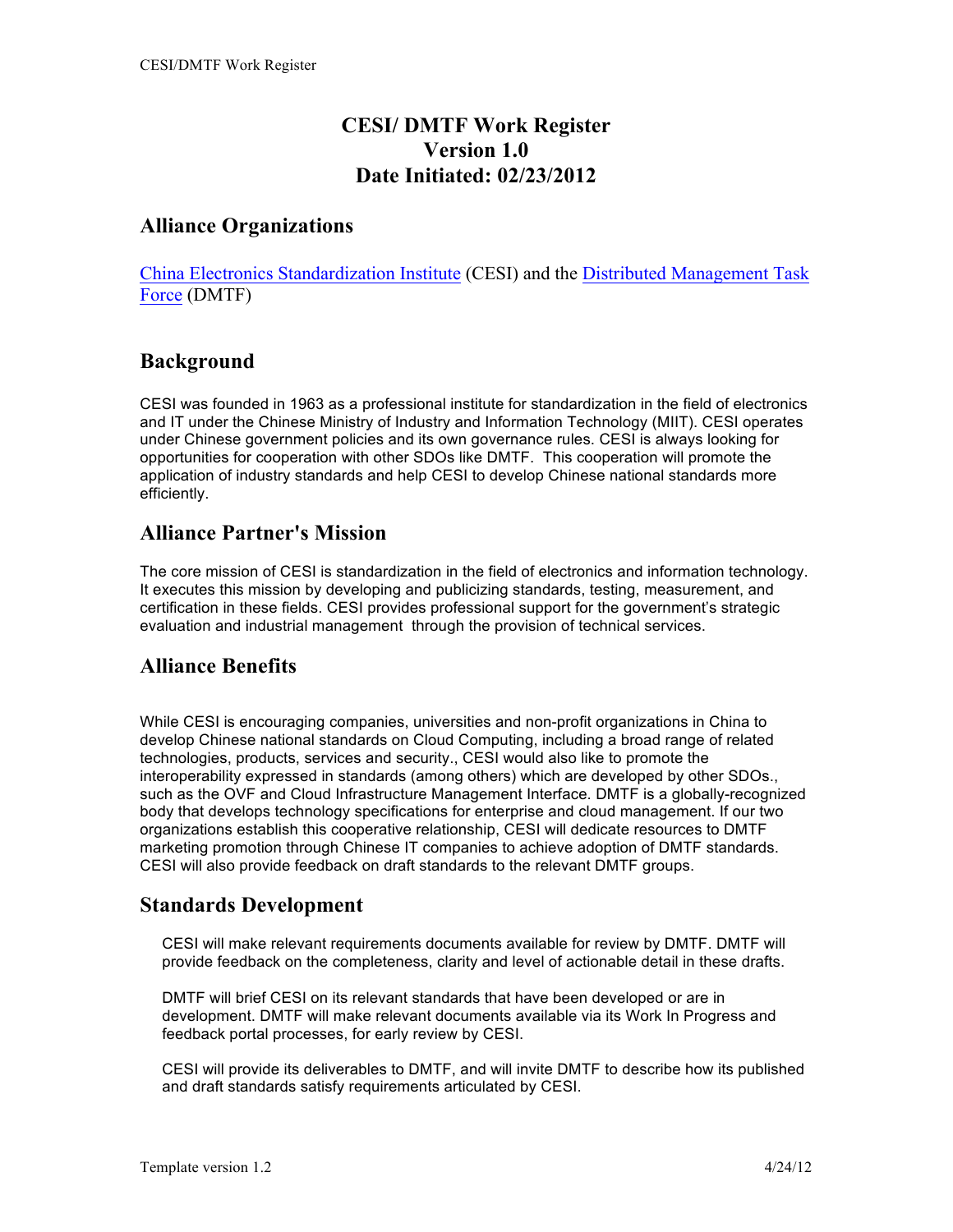## **CESI/ DMTF Work Register Version 1.0 Date Initiated: 02/23/2012**

#### **Alliance Organizations**

China Electronics Standardization Institute (CESI) and the Distributed Management Task Force (DMTF)

#### **Background**

CESI was founded in 1963 as a professional institute for standardization in the field of electronics and IT under the Chinese Ministry of Industry and Information Technology (MIIT). CESI operates under Chinese government policies and its own governance rules. CESI is always looking for opportunities for cooperation with other SDOs like DMTF. This cooperation will promote the application of industry standards and help CESI to develop Chinese national standards more efficiently.

## **Alliance Partner's Mission**

The core mission of CESI is standardization in the field of electronics and information technology. It executes this mission by developing and publicizing standards, testing, measurement, and certification in these fields. CESI provides professional support for the government's strategic evaluation and industrial management through the provision of technical services.

## **Alliance Benefits**

While CESI is encouraging companies, universities and non-profit organizations in China to develop Chinese national standards on Cloud Computing, including a broad range of related technologies, products, services and security., CESI would also like to promote the interoperability expressed in standards (among others) which are developed by other SDOs., such as the OVF and Cloud Infrastructure Management Interface. DMTF is a globally-recognized body that develops technology specifications for enterprise and cloud management. If our two organizations establish this cooperative relationship, CESI will dedicate resources to DMTF marketing promotion through Chinese IT companies to achieve adoption of DMTF standards. CESI will also provide feedback on draft standards to the relevant DMTF groups.

## **Standards Development**

CESI will make relevant requirements documents available for review by DMTF. DMTF will provide feedback on the completeness, clarity and level of actionable detail in these drafts.

DMTF will brief CESI on its relevant standards that have been developed or are in development. DMTF will make relevant documents available via its Work In Progress and feedback portal processes, for early review by CESI.

CESI will provide its deliverables to DMTF, and will invite DMTF to describe how its published and draft standards satisfy requirements articulated by CESI.